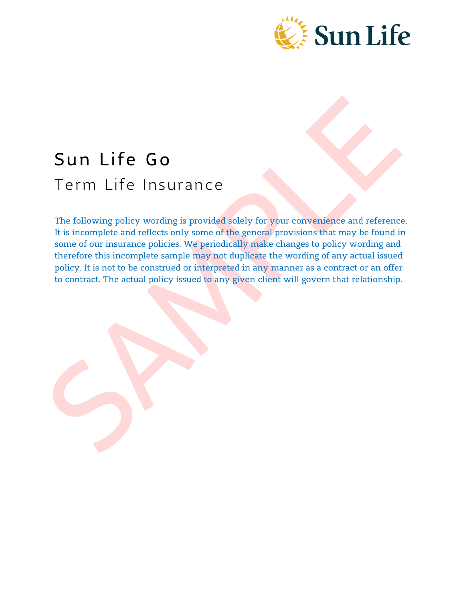

# Sun Life Go Term Life Insurance

The following policy wording is provided solely for your convenience and reference. It is incomplete and reflects only some of the general provisions that may be found in some of our insurance policies. We periodically make changes to policy wording and therefore this incomplete sample may not duplicate the wording of any actual issued policy. It is not to be construed or interpreted in any manner as a contract or an offer to contract. The actual policy issued to any given client will govern that relationship.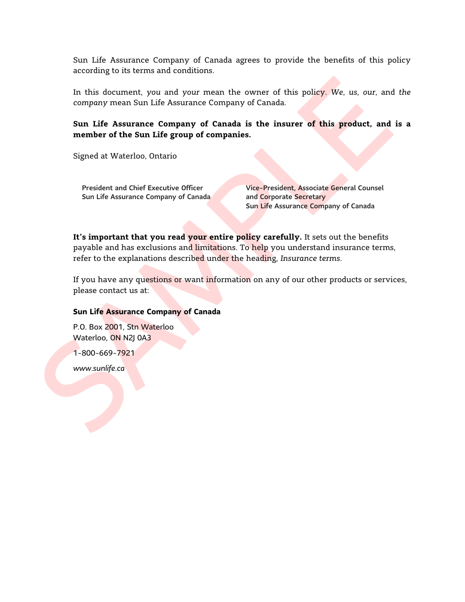Sun Life Assurance Company of Canada agrees to provide the benefits of this policy according to its terms and conditions.

In this document, *you* and *your* mean the owner of this policy. *We*, *us*, *our*, and *the company* mean Sun Life Assurance Company of Canada.

**Sun Life Assurance Company of Canada is the insurer of this product, and is a member of the Sun Life group of companies.**

Signed at Waterloo, Ontario

President and Chief Executive Officer Vice-President, Associate General Counsel Sun Life Assurance Company of Canada and Corporate Secretary

Sun Life Assurance Company of Canada

**It's important that you read your entire policy carefully.** It sets out the benefits payable and has exclusions and limitations. To help you understand insurance terms, refer to the explanations described under the heading, *Insurance terms*.

If you have any questions or want information on any of our other products or services, please contact us at:

#### **Sun Life Assurance Company of Canada**

P.O. Box 2001, Stn Waterloo Waterloo, ON N2J 0A3

1-800-669-7921

*www.sunlife.ca*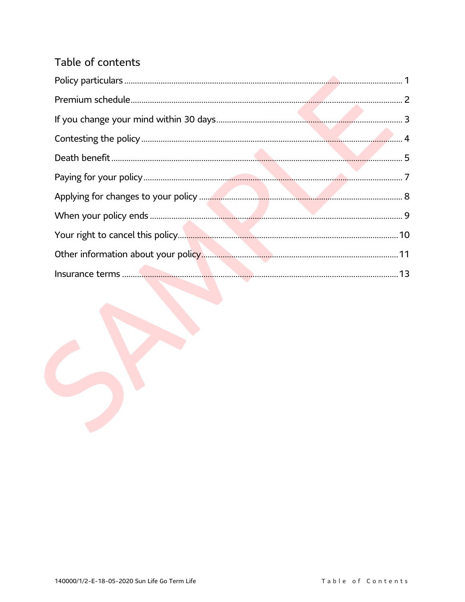# Table of contents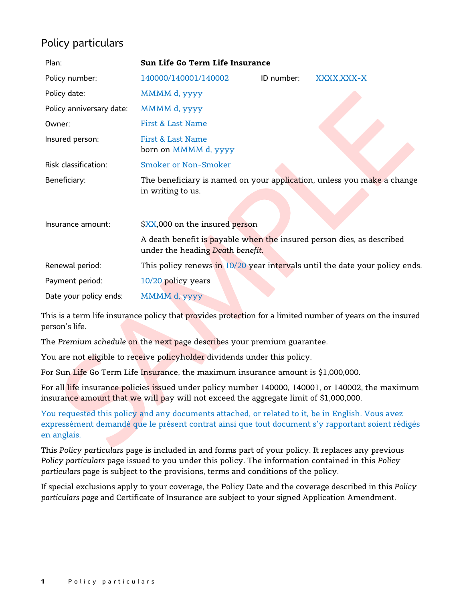# Policy particulars

| Plan:                    | Sun Life Go Term Life Insurance                                                                           |            |             |
|--------------------------|-----------------------------------------------------------------------------------------------------------|------------|-------------|
| Policy number:           | 140000/140001/140002                                                                                      | ID number: | XXXX, XXX-X |
| Policy date:             | MMMM d, yyyy                                                                                              |            |             |
| Policy anniversary date: | MMMM d, yyyy                                                                                              |            |             |
| Owner:                   | First & Last Name                                                                                         |            |             |
| Insured person:          | First & Last Name<br>born on MMMM d, yyyy                                                                 |            |             |
| Risk classification:     | Smoker or Non-Smoker                                                                                      |            |             |
| Beneficiary:             | The beneficiary is named on your application, unless you make a change<br>in writing to us.               |            |             |
| Insurance amount:        | \$XX,000 on the insured person                                                                            |            |             |
|                          | A death benefit is payable when the insured person dies, as described<br>under the heading Death benefit. |            |             |
| Renewal period:          | This policy renews in 10/20 year intervals until the date your policy ends.                               |            |             |
| Payment period:          | 10/20 policy years                                                                                        |            |             |
| Date your policy ends:   | MMMM d, yyyy                                                                                              |            |             |

This is a term life insurance policy that provides protection for a limited number of years on the insured person's life.

The *Premium schedule* on the next page describes your premium guarantee.

You are not eligible to receive policyholder dividends under this policy.

For Sun Life Go Term Life Insurance, the maximum insurance amount is \$1,000,000.

For all life insurance policies issued under policy number 140000, 140001, or 140002, the maximum insurance amount that we will pay will not exceed the aggregate limit of \$1,000,000.

You requested this policy and any documents attached, or related to it, be in English. Vous avez expressément demandé que le présent contrat ainsi que tout document s'y rapportant soient rédigés en anglais.

This *Policy particulars* page is included in and forms part of your policy. It replaces any previous *Policy particulars* page issued to you under this policy. The information contained in this *Policy particulars* page is subject to the provisions, terms and conditions of the policy.

If special exclusions apply to your coverage, the Policy Date and the coverage described in this *Policy particulars page* and Certificate of Insurance are subject to your signed Application Amendment.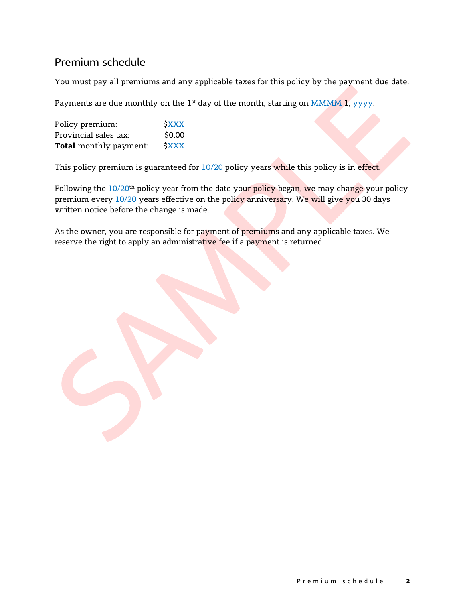## Premium schedule

You must pay all premiums and any applicable taxes for this policy by the payment due date.

Payments are due monthly on the 1<sup>st</sup> day of the month, starting on MMMM 1, yyyy.

| Policy premium:               | <b>SXXX</b> |
|-------------------------------|-------------|
| Provincial sales tax:         | \$0.00      |
| <b>Total</b> monthly payment: | <b>SXXX</b> |

This policy premium is guaranteed for 10/20 policy years while this policy is in effect.

Following the  $10/20$ <sup>th</sup> policy year from the date your policy began, we may change your policy premium every 10/20 years effective on the policy anniversary. We will give you 30 days written notice before the change is made.

As the owner, you are responsible for payment of premiums and any applicable taxes. We reserve the right to apply an administrative fee if a payment is returned.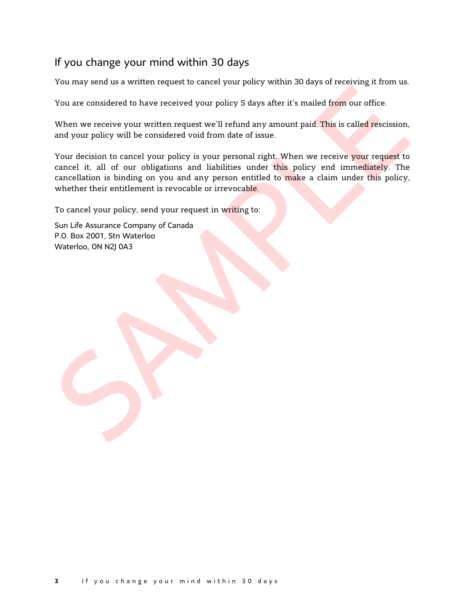## <span id="page-5-0"></span>If you change your mind within 30 days

You may send us a written request to cancel your policy within 30 days of receiving it from us.

You are considered to have received your policy 5 days after it's mailed from our office.

When we receive your written request we'll refund any amount paid. This is called rescission, and your policy will be considered void from date of issue.

Your decision to cancel your policy is your personal right. When we receive your request to cancel it, all of our obligations and liabilities under this policy end immediately. The cancellation is binding on you and any person entitled to make a claim under this policy, whether their entitlement is revocable or irrevocable.

To cancel your policy, send your request in writing to:

Sun Life Assurance Company of Canada P.O. Box 2001, Stn Waterloo Waterloo, ON N2J 0A3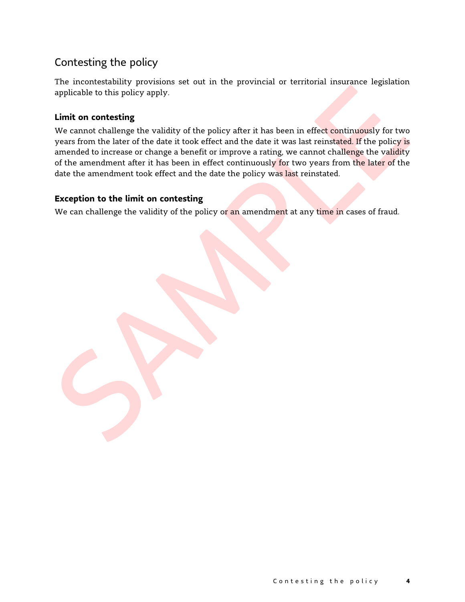# <span id="page-6-0"></span>Contesting the policy

The incontestability provisions set out in the provincial or territorial insurance legislation applicable to this policy apply.

## **Limit on contesting**

We cannot challenge the validity of the policy after it has been in effect continuously for two years from the later of the date it took effect and the date it was last reinstated. If the policy is amended to increase or change a benefit or improve a rating, we cannot challenge the validity of the amendment after it has been in effect continuously for two years from the later of the date the amendment took effect and the date the policy was last reinstated.

### **Exception to the limit on contesting**

We can challenge the validity of the policy or an amendment at any time in cases of fraud.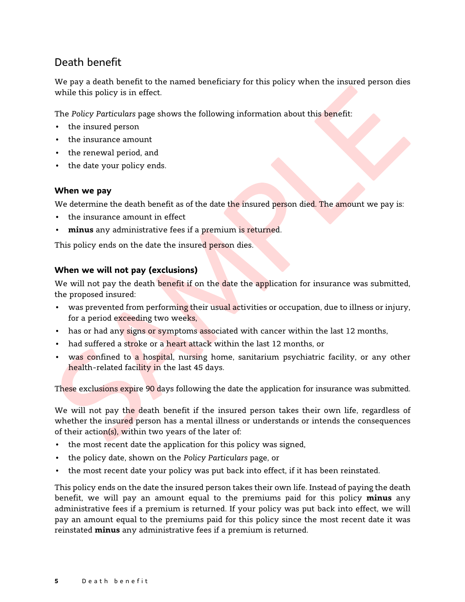# <span id="page-7-0"></span>Death benefit

We pay a death benefit to the named beneficiary for this policy when the insured person dies while this policy is in effect.

The *Policy Particulars* page shows the following information about this benefit:

- the insured person
- the insurance amount
- the renewal period, and
- the date your policy ends.

### **When we pay**

We determine the death benefit as of the date the insured person died. The amount we pay is:

- the insurance amount in effect
- **minus** any administrative fees if a premium is returned.

This policy ends on the date the insured person dies.

### **When we will not pay (exclusions)**

We will not pay the death benefit if on the date the application for insurance was submitted, the proposed insured:

- was prevented from performing their usual activities or occupation, due to illness or injury, for a period exceeding two weeks,
- has or had any signs or symptoms associated with cancer within the last 12 months,
- had suffered a stroke or a heart attack within the last 12 months, or
- was confined to a hospital, nursing home, sanitarium psychiatric facility, or any other health-related facility in the last 45 days.

These exclusions expire 90 days following the date the application for insurance was submitted.

We will not pay the death benefit if the insured person takes their own life, regardless of whether the insured person has a mental illness or understands or intends the consequences of their action(s), within two years of the later of:

- the most recent date the application for this policy was signed,
- the policy date, shown on the *Policy Particulars* page, or
- the most recent date your policy was put back into effect, if it has been reinstated.

This policy ends on the date the insured person takes their own life. Instead of paying the death benefit, we will pay an amount equal to the premiums paid for this policy **minus** any administrative fees if a premium is returned. If your policy was put back into effect, we will pay an amount equal to the premiums paid for this policy since the most recent date it was reinstated **minus** any administrative fees if a premium is returned.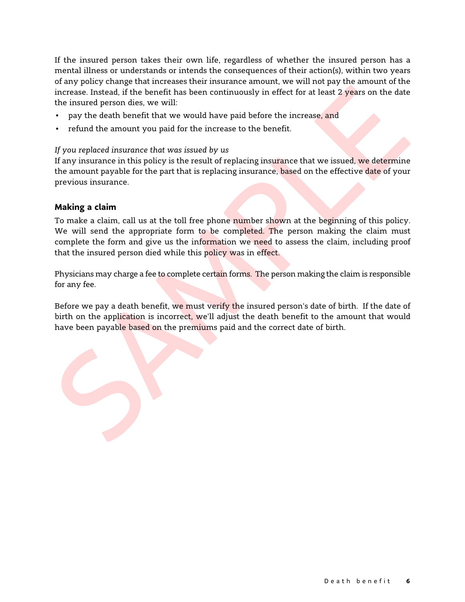If the insured person takes their own life, regardless of whether the insured person has a mental illness or understands or intends the consequences of their action(s), within two years of any policy change that increases their insurance amount, we will not pay the amount of the increase. Instead, if the benefit has been continuously in effect for at least 2 years on the date the insured person dies, we will:

- pay the death benefit that we would have paid before the increase, and
- refund the amount you paid for the increase to the benefit.

*If you replaced insurance that was issued by us*

If any insurance in this policy is the result of replacing insurance that we issued, we determine the amount payable for the part that is replacing insurance, based on the effective date of your previous insurance.

### **Making a claim**

To make a claim, call us at the toll free phone number shown at the beginning of this policy. We will send the appropriate form to be completed. The person making the claim must complete the form and give us the information we need to assess the claim, including proof that the insured person died while this policy was in effect.

Physicians may charge a fee to complete certain forms. The person making the claim is responsible for any fee.

Before we pay a death benefit, we must verify the insured person's date of birth. If the date of birth on the application is incorrect, we'll adjust the death benefit to the amount that would have been payable based on the premiums paid and the correct date of birth.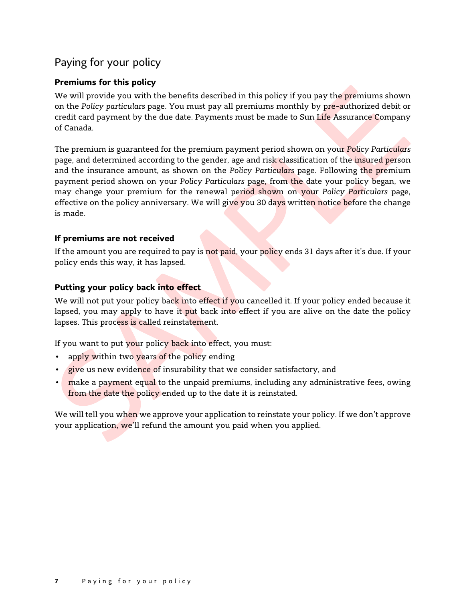# <span id="page-9-0"></span>Paying for your policy

## **Premiums for this policy**

We will provide you with the benefits described in this policy if you pay the premiums shown on the *Policy particulars* page. You must pay all premiums monthly by pre-authorized debit or credit card payment by the due date. Payments must be made to Sun Life Assurance Company of Canada.

The premium is guaranteed for the premium payment period shown on your *Policy Particulars*  page, and determined according to the gender, age and risk classification of the insured person and the insurance amount, as shown on the *Policy Particulars* page. Following the premium payment period shown on your *Policy Particulars* page, from the date your policy began, we may change your premium for the renewal period shown on your *Policy Particulars* page, effective on the policy anniversary. We will give you 30 days written notice before the change is made.

## **If premiums are not received**

If the amount you are required to pay is not paid, your policy ends 31 days after it's due. If your policy ends this way, it has lapsed.

## **Putting your policy back into effect**

We will not put your policy back into effect if you cancelled it. If your policy ended because it lapsed, you may apply to have it put back into effect if you are alive on the date the policy lapses. This process is called reinstatement.

If you want to put your policy back into effect, you must:

- apply within two years of the policy ending
- **give** us new evidence of insurability that we consider satisfactory, and
- make a payment equal to the unpaid premiums, including any administrative fees, owing from the date the policy ended up to the date it is reinstated.

We will tell you when we approve your application to reinstate your policy. If we don't approve your application, we'll refund the amount you paid when you applied.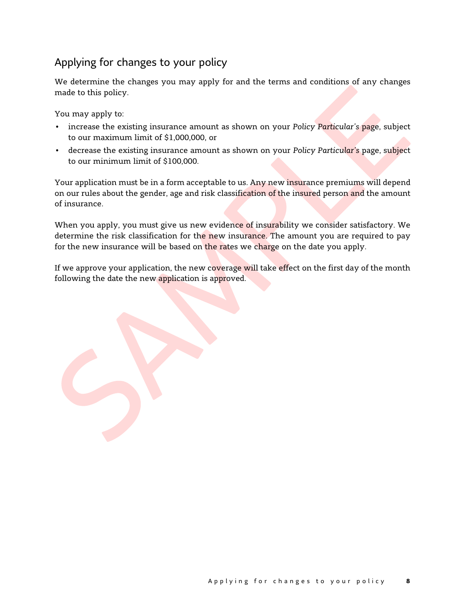# <span id="page-10-0"></span>Applying for changes to your policy

We determine the changes you may apply for and the terms and conditions of any changes made to this policy.

You may apply to:

- increase the existing insurance amount as shown on your *Policy Particular's* page, subject to our maximum limit of \$1,000,000, or
- decrease the existing insurance amount as shown on your *Policy Particular's* page, subject to our minimum limit of \$100,000.

Your application must be in a form acceptable to us. Any new insurance premiums will depend on our rules about the gender, age and risk classification of the insured person and the amount of insurance.

When you apply, you must give us new evidence of insurability we consider satisfactory. We determine the risk classification for the new insurance. The amount you are required to pay for the new insurance will be based on the rates we charge on the date you apply.

If we approve your application, the new coverage will take effect on the first day of the month following the date the new application is approved.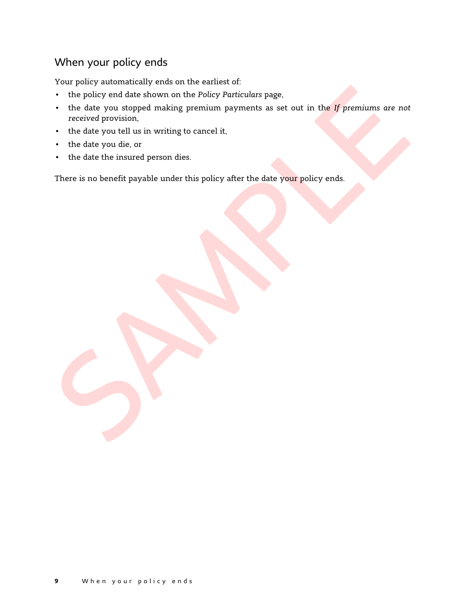# <span id="page-11-0"></span>When your policy ends

Your policy automatically ends on the earliest of:

- the policy end date shown on the *Policy Particulars* page,
- the date you stopped making premium payments as set out in the *If premiums are not received* provision,
- the date you tell us in writing to cancel it,
- the date you die, or
- the date the insured person dies.

There is no benefit payable under this policy after the date your policy ends.

**9** When your policy ends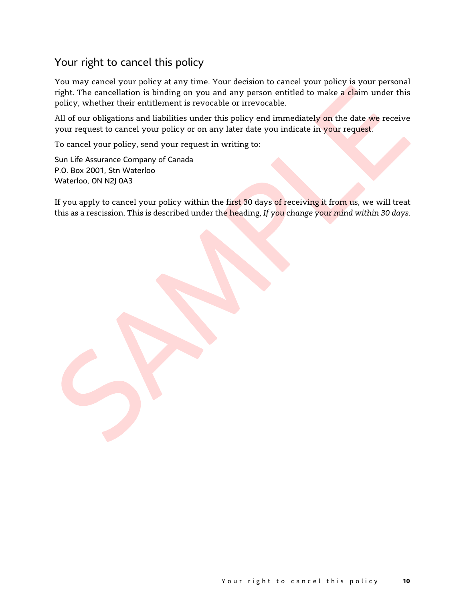## <span id="page-12-0"></span>Your right to cancel this policy

You may cancel your policy at any time. Your decision to cancel your policy is your personal right. The cancellation is binding on you and any person entitled to make a claim under this policy, whether their entitlement is revocable or irrevocable.

All of our obligations and liabilities under this policy end immediately on the date we receive your request to cancel your policy or on any later date you indicate in your request.

To cancel your policy, send your request in writing to:

Sun Life Assurance Company of Canada P.O. Box 2001, Stn Waterloo Waterloo, ON N2J 0A3

If you apply to cancel your policy within the first 30 days of receiving it from us, we will treat this as a rescission. This is described under the heading, *If you change your mind within 30 days*.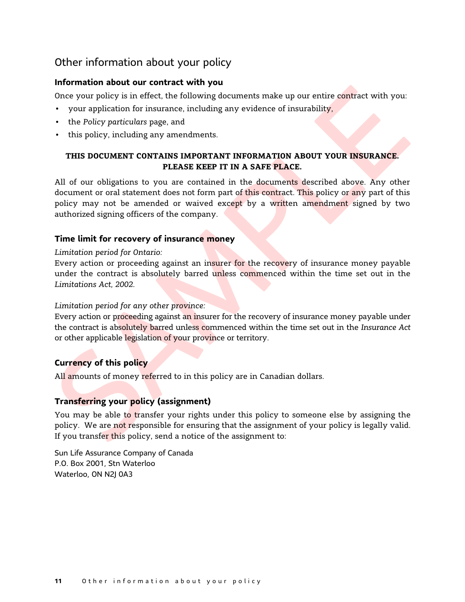## <span id="page-13-0"></span>Other information about your policy

#### **Information about our contract with you**

Once your policy is in effect, the following documents make up our entire contract with you:

- your application for insurance, including any evidence of insurability,
- the *Policy particulars* page, and
- this policy, including any amendments.

## **THIS DOCUMENT CONTAINS IMPORTANT INFORMATION ABOUT YOUR INSURANCE. PLEASE KEEP IT IN A SAFE PLACE.**

All of our obligations to you are contained in the documents described above. Any other document or oral statement does not form part of this contract. This policy or any part of this policy may not be amended or waived except by a written amendment signed by two authorized signing officers of the company.

#### **Time limit for recovery of insurance money**

#### *Limitation period for Ontario:*

Every action or proceeding against an insurer for the recovery of insurance money payable under the contract is absolutely barred unless commenced within the time set out in the *Limitations Act, 2002*.

#### *Limitation period for any other province:*

Every action or proceeding against an insurer for the recovery of insurance money payable under the contract is absolutely barred unless commenced within the time set out in the *Insurance Act*  or other applicable legislation of your province or territory.

#### **Currency of this policy**

All amounts of money referred to in this policy are in Canadian dollars.

### **Transferring your policy (assignment)**

You may be able to transfer your rights under this policy to someone else by assigning the policy. We are not responsible for ensuring that the assignment of your policy is legally valid. If you transfer this policy, send a notice of the assignment to:

Sun Life Assurance Company of Canada P.O. Box 2001, Stn Waterloo Waterloo, ON N2J 0A3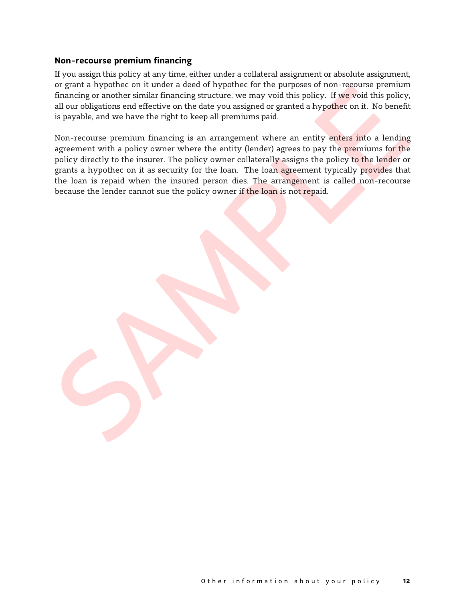#### **Non-recourse premium financing**

If you assign this policy at any time, either under a collateral assignment or absolute assignment, or grant a hypothec on it under a deed of hypothec for the purposes of non-recourse premium financing or another similar financing structure, we may void this policy. If we void this policy, all our obligations end effective on the date you assigned or granted a hypothec on it. No benefit is payable, and we have the right to keep all premiums paid.

Non-recourse premium financing is an arrangement where an entity enters into a lending agreement with a policy owner where the entity (lender) agrees to pay the premiums for the policy directly to the insurer. The policy owner collaterally assigns the policy to the lender or grants a hypothec on it as security for the loan. The loan agreement typically provides that the loan is repaid when the insured person dies. The arrangement is called non-recourse because the lender cannot sue the policy owner if the loan is not repaid.